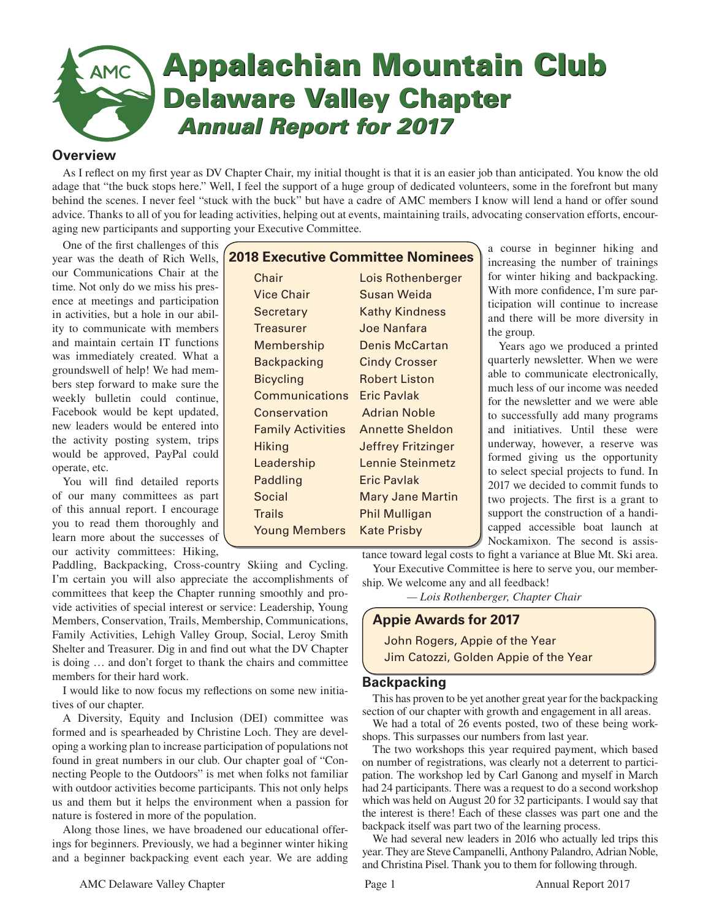

## **Overview**

As I reflect on my first year as DV Chapter Chair, my initial thought is that it is an easier job than anticipated. You know the old adage that "the buck stops here." Well, I feel the support of a huge group of dedicated volunteers, some in the forefront but many behind the scenes. I never feel "stuck with the buck" but have a cadre of AMC members I know will lend a hand or offer sound advice. Thanks to all of you for leading activities, helping out at events, maintaining trails, advocating conservation efforts, encouraging new participants and supporting your Executive Committee.

One of the first challenges of this year was the death of Rich Wells, our Communications Chair at the time. Not only do we miss his presence at meetings and participation in activities, but a hole in our ability to communicate with members and maintain certain IT functions was immediately created. What a groundswell of help! We had members step forward to make sure the weekly bulletin could continue, Facebook would be kept updated, new leaders would be entered into the activity posting system, trips would be approved, PayPal could operate, etc.

You will find detailed reports of our many committees as part of this annual report. I encourage you to read them thoroughly and learn more about the successes of our activity committees: Hiking,

| <b>2018 Executive Committee Nominees</b> |                           |
|------------------------------------------|---------------------------|
| Chair                                    | Lois Rothenberger         |
| <b>Vice Chair</b>                        | Susan Weida               |
| Secretary                                | <b>Kathy Kindness</b>     |
| <b>Treasurer</b>                         | Joe Nanfara               |
| <b>Membership</b>                        | <b>Denis McCartan</b>     |
| <b>Backpacking</b>                       | <b>Cindy Crosser</b>      |
| <b>Bicycling</b>                         | <b>Robert Liston</b>      |
| Communications                           | Eric Pavlak               |
| Conservation                             | <b>Adrian Noble</b>       |
| <b>Family Activities</b>                 | <b>Annette Sheldon</b>    |
| <b>Hiking</b>                            | <b>Jeffrey Fritzinger</b> |
| Leadership                               | Lennie Steinmetz          |
| Paddling                                 | Eric Pavlak               |
| <b>Social</b>                            | <b>Mary Jane Martin</b>   |
| <b>Trails</b>                            | Phil Mulligan             |
| <b>Young Members</b>                     | Kate Prisby               |

a course in beginner hiking and increasing the number of trainings for winter hiking and backpacking. With more confidence, I'm sure participation will continue to increase and there will be more diversity in the group.

Years ago we produced a printed quarterly newsletter. When we were able to communicate electronically, much less of our income was needed for the newsletter and we were able to successfully add many programs and initiatives. Until these were underway, however, a reserve was formed giving us the opportunity to select special projects to fund. In 2017 we decided to commit funds to two projects. The first is a grant to support the construction of a handicapped accessible boat launch at Nockamixon. The second is assis-

tance toward legal costs to fight a variance at Blue Mt. Ski area. Your Executive Committee is here to serve you, our member-

ship. We welcome any and all feedback!

*— Lois Rothenberger, Chapter Chair*

## **Appie Awards for 2017**

John Rogers, Appie of the Year Jim Catozzi, Golden Appie of the Year

## **Backpacking**

This has proven to be yet another great year for the backpacking section of our chapter with growth and engagement in all areas.

We had a total of 26 events posted, two of these being workshops. This surpasses our numbers from last year.

The two workshops this year required payment, which based on number of registrations, was clearly not a deterrent to participation. The workshop led by Carl Ganong and myself in March had 24 participants. There was a request to do a second workshop which was held on August 20 for 32 participants. I would say that the interest is there! Each of these classes was part one and the backpack itself was part two of the learning process.

We had several new leaders in 2016 who actually led trips this year. They are Steve Campanelli, Anthony Palandro, Adrian Noble, and Christina Pisel. Thank you to them for following through.

Paddling, Backpacking, Cross-country Skiing and Cycling. I'm certain you will also appreciate the accomplishments of committees that keep the Chapter running smoothly and provide activities of special interest or service: Leadership, Young Members, Conservation, Trails, Membership, Communications, Family Activities, Lehigh Valley Group, Social, Leroy Smith Shelter and Treasurer. Dig in and find out what the DV Chapter is doing … and don't forget to thank the chairs and committee members for their hard work.

I would like to now focus my reflections on some new initiatives of our chapter.

A Diversity, Equity and Inclusion (DEI) committee was formed and is spearheaded by Christine Loch. They are developing a working plan to increase participation of populations not found in great numbers in our club. Our chapter goal of "Connecting People to the Outdoors" is met when folks not familiar with outdoor activities become participants. This not only helps us and them but it helps the environment when a passion for nature is fostered in more of the population.

Along those lines, we have broadened our educational offerings for beginners. Previously, we had a beginner winter hiking and a beginner backpacking event each year. We are adding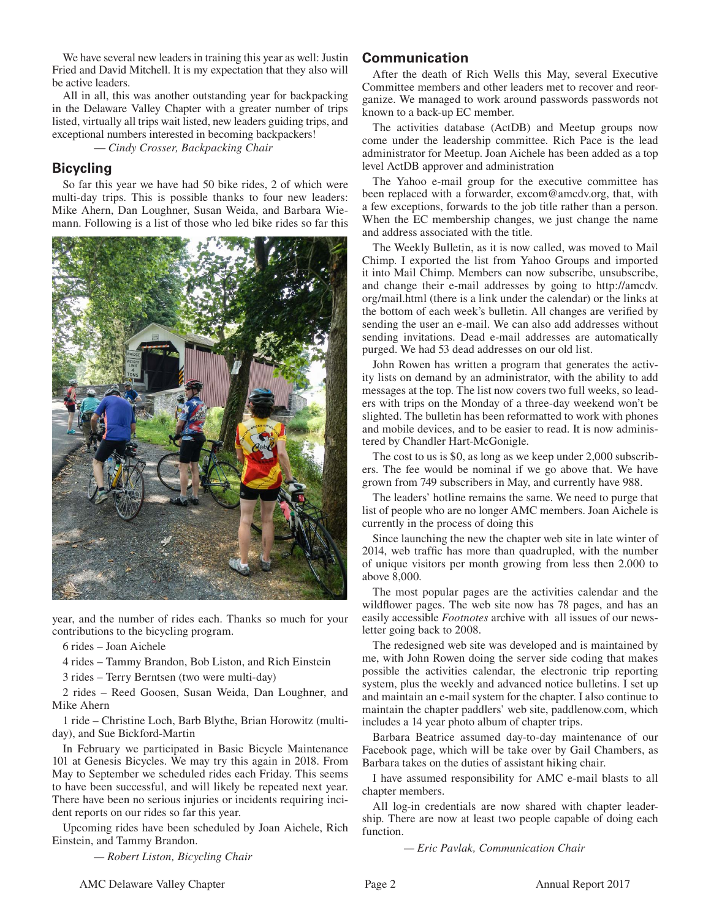We have several new leaders in training this year as well: Justin Fried and David Mitchell. It is my expectation that they also will be active leaders.

All in all, this was another outstanding year for backpacking in the Delaware Valley Chapter with a greater number of trips listed, virtually all trips wait listed, new leaders guiding trips, and exceptional numbers interested in becoming backpackers!

— *Cindy Crosser, Backpacking Chair*

### **Bicycling**

So far this year we have had 50 bike rides, 2 of which were multi-day trips. This is possible thanks to four new leaders: Mike Ahern, Dan Loughner, Susan Weida, and Barbara Wiemann. Following is a list of those who led bike rides so far this



year, and the number of rides each. Thanks so much for your contributions to the bicycling program.

6 rides – Joan Aichele

4 rides – Tammy Brandon, Bob Liston, and Rich Einstein

3 rides – Terry Berntsen (two were multi-day)

2 rides – Reed Goosen, Susan Weida, Dan Loughner, and Mike Ahern

1 ride – Christine Loch, Barb Blythe, Brian Horowitz (multiday), and Sue Bickford-Martin

In February we participated in Basic Bicycle Maintenance 101 at Genesis Bicycles. We may try this again in 2018. From May to September we scheduled rides each Friday. This seems to have been successful, and will likely be repeated next year. There have been no serious injuries or incidents requiring incident reports on our rides so far this year.

Upcoming rides have been scheduled by Joan Aichele, Rich Einstein, and Tammy Brandon.

 *— Robert Liston, Bicycling Chair*

## **Communication**

After the death of Rich Wells this May, several Executive Committee members and other leaders met to recover and reorganize. We managed to work around passwords passwords not known to a back-up EC member.

The activities database (ActDB) and Meetup groups now come under the leadership committee. Rich Pace is the lead administrator for Meetup. Joan Aichele has been added as a top level ActDB approver and administration

The Yahoo e-mail group for the executive committee has been replaced with a forwarder, excom@amcdv.org, that, with a few exceptions, forwards to the job title rather than a person. When the EC membership changes, we just change the name and address associated with the title.

The Weekly Bulletin, as it is now called, was moved to Mail Chimp. I exported the list from Yahoo Groups and imported it into Mail Chimp. Members can now subscribe, unsubscribe, and change their e-mail addresses by going to http://amcdv. org/mail.html (there is a link under the calendar) or the links at the bottom of each week's bulletin. All changes are verified by sending the user an e-mail. We can also add addresses without sending invitations. Dead e-mail addresses are automatically purged. We had 53 dead addresses on our old list.

John Rowen has written a program that generates the activity lists on demand by an administrator, with the ability to add messages at the top. The list now covers two full weeks, so leaders with trips on the Monday of a three-day weekend won't be slighted. The bulletin has been reformatted to work with phones and mobile devices, and to be easier to read. It is now administered by Chandler Hart-McGonigle.

The cost to us is \$0, as long as we keep under 2,000 subscribers. The fee would be nominal if we go above that. We have grown from 749 subscribers in May, and currently have 988.

The leaders' hotline remains the same. We need to purge that list of people who are no longer AMC members. Joan Aichele is currently in the process of doing this

Since launching the new the chapter web site in late winter of 2014, web traffic has more than quadrupled, with the number of unique visitors per month growing from less then 2.000 to above 8,000.

The most popular pages are the activities calendar and the wildflower pages. The web site now has 78 pages, and has an easily accessible *Footnotes* archive with all issues of our newsletter going back to 2008.

The redesigned web site was developed and is maintained by me, with John Rowen doing the server side coding that makes possible the activities calendar, the electronic trip reporting system, plus the weekly and advanced notice bulletins. I set up and maintain an e-mail system for the chapter. I also continue to maintain the chapter paddlers' web site, paddlenow.com, which includes a 14 year photo album of chapter trips.

Barbara Beatrice assumed day-to-day maintenance of our Facebook page, which will be take over by Gail Chambers, as Barbara takes on the duties of assistant hiking chair.

I have assumed responsibility for AMC e-mail blasts to all chapter members.

All log-in credentials are now shared with chapter leadership. There are now at least two people capable of doing each function.

 *— Eric Pavlak, Communication Chair*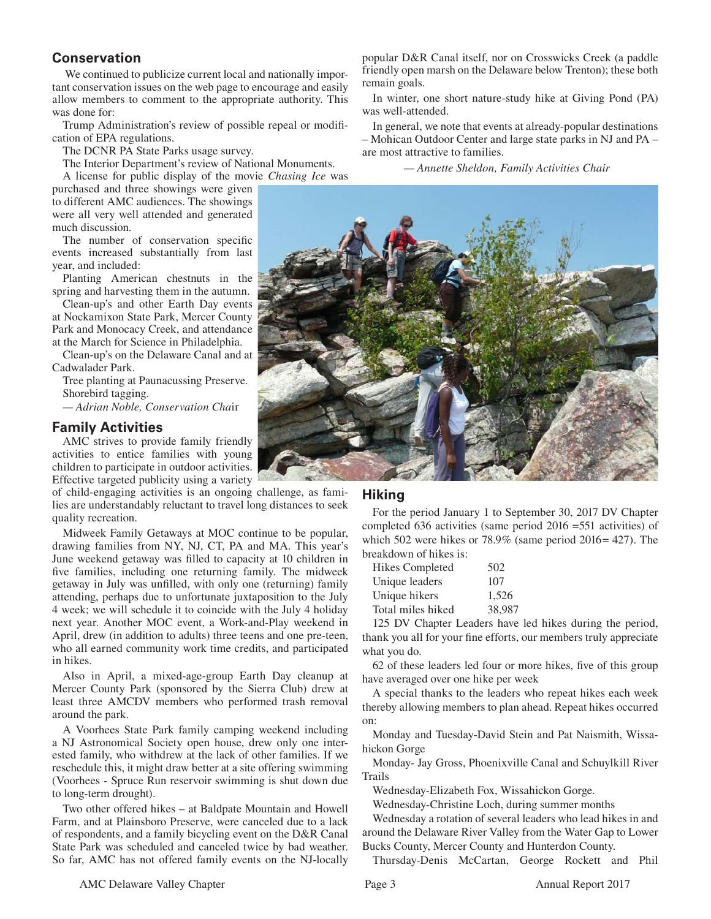# **Conservation**

 We continued to publicize current local and nationally important conservation issues on the web page to encourage and easily allow members to comment to the appropriate authority. This was done for:

Trump Administration's review of possible repeal or modification of EPA regulations.

The DCNR PA State Parks usage survey.

The Interior Department's review of National Monuments.

A license for public display of the movie *Chasing Ice* was purchased and three showings were given to different AMC audiences. The showings were all very well attended and generated much discussion.

The number of conservation specific events increased substantially from last year, and included:

Planting American chestnuts in the spring and harvesting them in the autumn.

Clean-up's and other Earth Day events at Nockamixon State Park, Mercer County Park and Monocacy Creek, and attendance at the March for Science in Philadelphia.

Clean-up's on the Delaware Canal and at Cadwalader Park.

Tree planting at Paunacussing Preserve. Shorebird tagging.

*— Adrian Noble, Conservation Cha*ir

## **Family Activities**

AMC strives to provide family friendly activities to entice families with young children to participate in outdoor activities. Effective targeted publicity using a variety

of child-engaging activities is an ongoing challenge, as families are understandably reluctant to travel long distances to seek quality recreation.

Midweek Family Getaways at MOC continue to be popular, drawing families from NY, NJ, CT, PA and MA. This year's June weekend getaway was filled to capacity at 10 children in five families, including one returning family. The midweek getaway in July was unfilled, with only one (returning) family attending, perhaps due to unfortunate juxtaposition to the July 4 week; we will schedule it to coincide with the July 4 holiday next year. Another MOC event, a Work-and-Play weekend in April, drew (in addition to adults) three teens and one pre-teen, who all earned community work time credits, and participated in hikes.

Also in April, a mixed-age-group Earth Day cleanup at Mercer County Park (sponsored by the Sierra Club) drew at least three AMCDV members who performed trash removal around the park.

A Voorhees State Park family camping weekend including a NJ Astronomical Society open house, drew only one interested family, who withdrew at the lack of other families. If we reschedule this, it might draw better at a site offering swimming (Voorhees - Spruce Run reservoir swimming is shut down due to long-term drought).

Two other offered hikes – at Baldpate Mountain and Howell Farm, and at Plainsboro Preserve, were canceled due to a lack of respondents, and a family bicycling event on the D&R Canal State Park was scheduled and canceled twice by bad weather. So far, AMC has not offered family events on the NJ-locally popular D&R Canal itself, nor on Crosswicks Creek (a paddle friendly open marsh on the Delaware below Trenton); these both remain goals.

In winter, one short nature-study hike at Giving Pond (PA) was well-attended.

In general, we note that events at already-popular destinations – Mohican Outdoor Center and large state parks in NJ and PA – are most attractive to families.

 *— Annette Sheldon, Family Activities Chair*



### **Hiking**

For the period January 1 to September 30, 2017 DV Chapter completed 636 activities (same period 2016 =551 activities) of which 502 were hikes or  $78.9\%$  (same period 2016= 427). The breakdown of hikes is:

| <b>Hikes Completed</b> | 502    |
|------------------------|--------|
| Unique leaders         | 107    |
| Unique hikers          | 1,526  |
| Total miles hiked      | 38,987 |

125 DV Chapter Leaders have led hikes during the period, thank you all for your fine efforts, our members truly appreciate what you do.

62 of these leaders led four or more hikes, five of this group have averaged over one hike per week

A special thanks to the leaders who repeat hikes each week thereby allowing members to plan ahead. Repeat hikes occurred on:

Monday and Tuesday-David Stein and Pat Naismith, Wissahickon Gorge

Monday- Jay Gross, Phoenixville Canal and Schuylkill River Trails

Wednesday-Elizabeth Fox, Wissahickon Gorge.

Wednesday-Christine Loch, during summer months

Wednesday a rotation of several leaders who lead hikes in and around the Delaware River Valley from the Water Gap to Lower Bucks County, Mercer County and Hunterdon County.

Thursday-Denis McCartan, George Rockett and Phil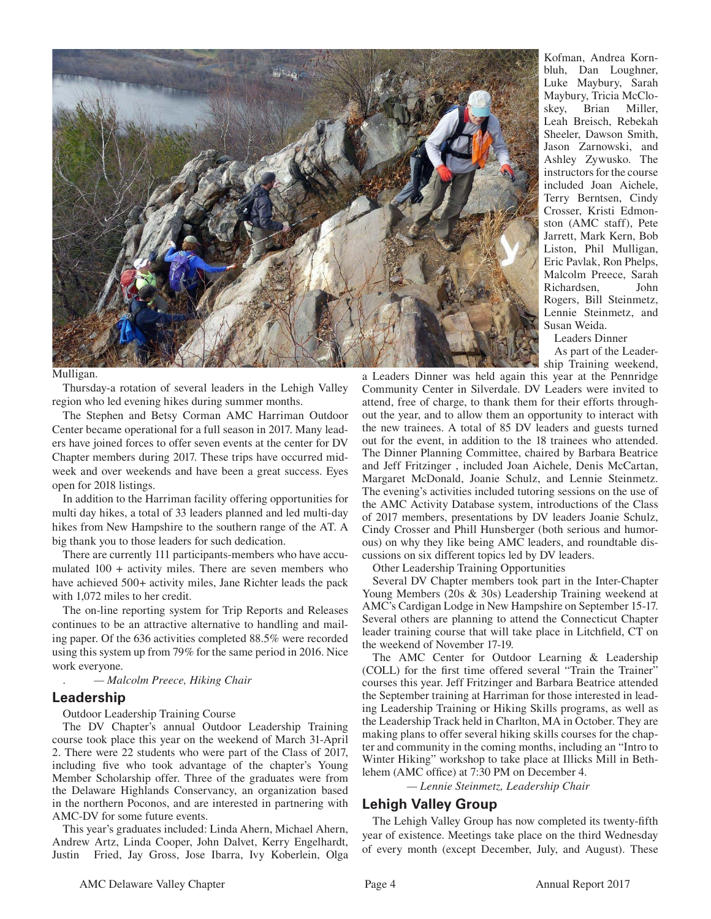

#### Mulligan.

Thursday-a rotation of several leaders in the Lehigh Valley region who led evening hikes during summer months.

The Stephen and Betsy Corman AMC Harriman Outdoor Center became operational for a full season in 2017. Many leaders have joined forces to offer seven events at the center for DV Chapter members during 2017. These trips have occurred midweek and over weekends and have been a great success. Eyes open for 2018 listings.

In addition to the Harriman facility offering opportunities for multi day hikes, a total of 33 leaders planned and led multi-day hikes from New Hampshire to the southern range of the AT. A big thank you to those leaders for such dedication.

There are currently 111 participants-members who have accumulated 100 + activity miles. There are seven members who have achieved 500+ activity miles, Jane Richter leads the pack with 1,072 miles to her credit.

The on-line reporting system for Trip Reports and Releases continues to be an attractive alternative to handling and mailing paper. Of the 636 activities completed 88.5% were recorded using this system up from 79% for the same period in 2016. Nice work everyone.

. *— Malcolm Preece, Hiking Chair*

#### **Leadership**

Outdoor Leadership Training Course

The DV Chapter's annual Outdoor Leadership Training course took place this year on the weekend of March 31-April 2. There were 22 students who were part of the Class of 2017, including five who took advantage of the chapter's Young Member Scholarship offer. Three of the graduates were from the Delaware Highlands Conservancy, an organization based in the northern Poconos, and are interested in partnering with AMC-DV for some future events.

This year's graduates included: Linda Ahern, Michael Ahern, Andrew Artz, Linda Cooper, John Dalvet, Kerry Engelhardt, Justin Fried, Jay Gross, Jose Ibarra, Ivy Koberlein, Olga Kofman, Andrea Kornbluh, Dan Loughner, Luke Maybury, Sarah Maybury, Tricia McCloskey, Brian Miller, Leah Breisch, Rebekah Sheeler, Dawson Smith, Jason Zarnowski, and Ashley Zywusko. The instructors for the course included Joan Aichele, Terry Berntsen, Cindy Crosser, Kristi Edmonston (AMC staff), Pete Jarrett, Mark Kern, Bob Liston, Phil Mulligan, Eric Pavlak, Ron Phelps, Malcolm Preece, Sarah Richardsen, John Rogers, Bill Steinmetz, Lennie Steinmetz, and Susan Weida.

Leaders Dinner

As part of the Leadership Training weekend,

a Leaders Dinner was held again this year at the Pennridge Community Center in Silverdale. DV Leaders were invited to attend, free of charge, to thank them for their efforts throughout the year, and to allow them an opportunity to interact with the new trainees. A total of 85 DV leaders and guests turned out for the event, in addition to the 18 trainees who attended. The Dinner Planning Committee, chaired by Barbara Beatrice and Jeff Fritzinger , included Joan Aichele, Denis McCartan, Margaret McDonald, Joanie Schulz, and Lennie Steinmetz. The evening's activities included tutoring sessions on the use of the AMC Activity Database system, introductions of the Class of 2017 members, presentations by DV leaders Joanie Schulz, Cindy Crosser and Phill Hunsberger (both serious and humorous) on why they like being AMC leaders, and roundtable discussions on six different topics led by DV leaders.

Other Leadership Training Opportunities

Several DV Chapter members took part in the Inter-Chapter Young Members (20s & 30s) Leadership Training weekend at AMC's Cardigan Lodge in New Hampshire on September 15-17. Several others are planning to attend the Connecticut Chapter leader training course that will take place in Litchfield, CT on the weekend of November 17-19.

The AMC Center for Outdoor Learning & Leadership (COLL) for the first time offered several "Train the Trainer" courses this year. Jeff Fritzinger and Barbara Beatrice attended the September training at Harriman for those interested in leading Leadership Training or Hiking Skills programs, as well as the Leadership Track held in Charlton, MA in October. They are making plans to offer several hiking skills courses for the chapter and community in the coming months, including an "Intro to Winter Hiking" workshop to take place at Illicks Mill in Bethlehem (AMC office) at 7:30 PM on December 4.

 *— Lennie Steinmetz, Leadership Chair*

#### **Lehigh Valley Group**

The Lehigh Valley Group has now completed its twenty-fifth year of existence. Meetings take place on the third Wednesday of every month (except December, July, and August). These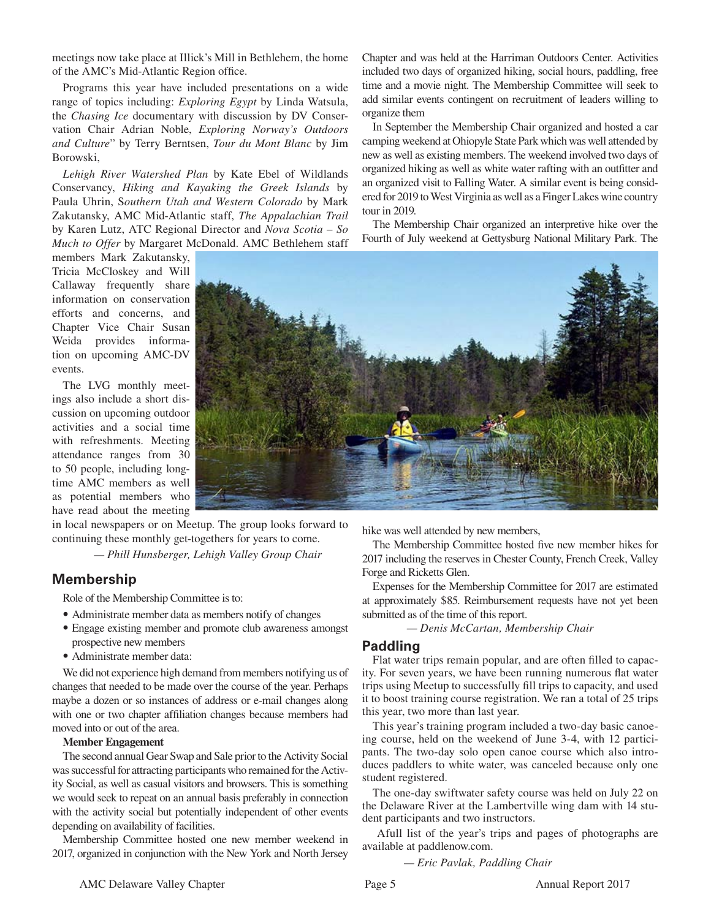meetings now take place at Illick's Mill in Bethlehem, the home of the AMC's Mid-Atlantic Region office.

Programs this year have included presentations on a wide range of topics including: *Exploring Egypt* by Linda Watsula, the *Chasing Ice* documentary with discussion by DV Conservation Chair Adrian Noble, *Exploring Norway's Outdoors and Culture*" by Terry Berntsen, *Tour du Mont Blanc* by Jim Borowski,

*Lehigh River Watershed Plan* by Kate Ebel of Wildlands Conservancy, *Hiking and Kayaking the Greek Islands* by Paula Uhrin, S*outhern Utah and Western Colorado* by Mark Zakutansky, AMC Mid-Atlantic staff, *The Appalachian Trail* by Karen Lutz, ATC Regional Director and *Nova Scotia – So Much to Offer* by Margaret McDonald. AMC Bethlehem staff

members Mark Zakutansky, Tricia McCloskey and Will Callaway frequently share information on conservation efforts and concerns, and Chapter Vice Chair Susan Weida provides information on upcoming AMC-DV events.

The LVG monthly meetings also include a short discussion on upcoming outdoor activities and a social time with refreshments. Meeting attendance ranges from 30 to 50 people, including longtime AMC members as well as potential members who have read about the meeting

in local newspapers or on Meetup. The group looks forward to continuing these monthly get-togethers for years to come.

 *— Phill Hunsberger, Lehigh Valley Group Chair*

## **Membership**

Role of the Membership Committee is to:

- **•** Administrate member data as members notify of changes
- Engage existing member and promote club awareness amongst prospective new members
- **•** Administrate member data:

We did not experience high demand from members notifying us of changes that needed to be made over the course of the year. Perhaps maybe a dozen or so instances of address or e-mail changes along with one or two chapter affiliation changes because members had moved into or out of the area.

#### **Member Engagement**

The second annual Gear Swap and Sale prior to the Activity Social was successful for attracting participants who remained for the Activity Social, as well as casual visitors and browsers. This is something we would seek to repeat on an annual basis preferably in connection with the activity social but potentially independent of other events depending on availability of facilities.

Membership Committee hosted one new member weekend in 2017, organized in conjunction with the New York and North Jersey

Chapter and was held at the Harriman Outdoors Center. Activities included two days of organized hiking, social hours, paddling, free time and a movie night. The Membership Committee will seek to add similar events contingent on recruitment of leaders willing to organize them

In September the Membership Chair organized and hosted a car camping weekend at Ohiopyle State Park which was well attended by new as well as existing members. The weekend involved two days of organized hiking as well as white water rafting with an outfitter and an organized visit to Falling Water. A similar event is being considered for 2019 to West Virginia as well as a Finger Lakes wine country tour in 2019.

The Membership Chair organized an interpretive hike over the Fourth of July weekend at Gettysburg National Military Park. The



hike was well attended by new members,

The Membership Committee hosted five new member hikes for 2017 including the reserves in Chester County, French Creek, Valley Forge and Ricketts Glen.

Expenses for the Membership Committee for 2017 are estimated at approximately \$85. Reimbursement requests have not yet been submitted as of the time of this report.

 *— Denis McCartan, Membership Chair*

#### **Paddling**

Flat water trips remain popular, and are often filled to capacity. For seven years, we have been running numerous flat water trips using Meetup to successfully fill trips to capacity, and used it to boost training course registration. We ran a total of 25 trips this year, two more than last year.

This year's training program included a two-day basic canoeing course, held on the weekend of June 3-4, with 12 participants. The two-day solo open canoe course which also introduces paddlers to white water, was canceled because only one student registered.

The one-day swiftwater safety course was held on July 22 on the Delaware River at the Lambertville wing dam with 14 student participants and two instructors.

 Afull list of the year's trips and pages of photographs are available at paddlenow.com.

 *— Eric Pavlak, Paddling Chair*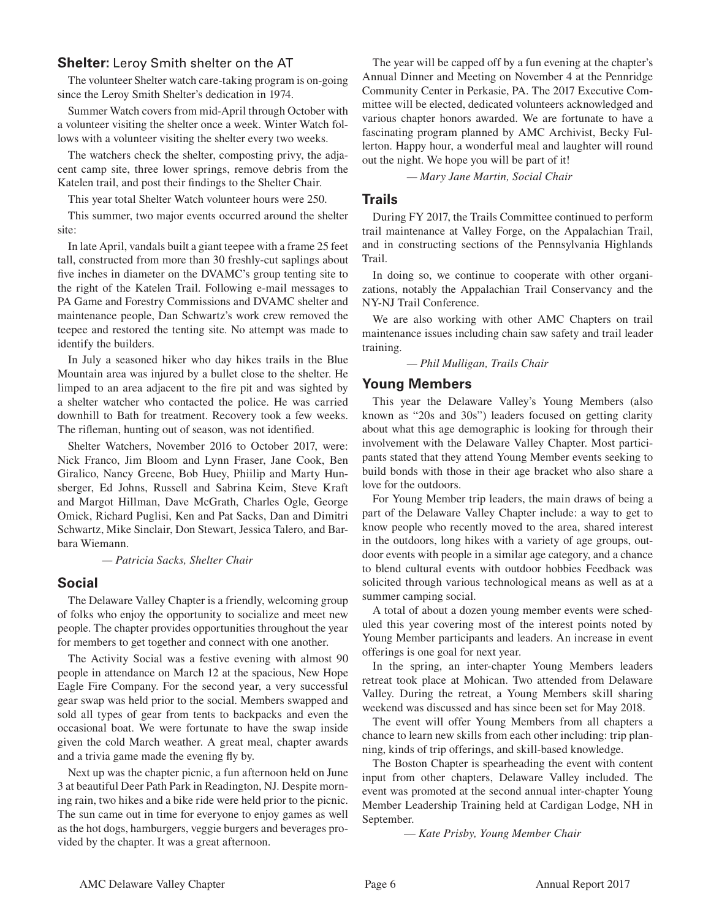## **Shelter:** Leroy Smith shelter on the AT

The volunteer Shelter watch care-taking program is on-going since the Leroy Smith Shelter's dedication in 1974.

Summer Watch covers from mid-April through October with a volunteer visiting the shelter once a week. Winter Watch follows with a volunteer visiting the shelter every two weeks.

The watchers check the shelter, composting privy, the adjacent camp site, three lower springs, remove debris from the Katelen trail, and post their findings to the Shelter Chair.

This year total Shelter Watch volunteer hours were 250.

This summer, two major events occurred around the shelter site:

In late April, vandals built a giant teepee with a frame 25 feet tall, constructed from more than 30 freshly-cut saplings about five inches in diameter on the DVAMC's group tenting site to the right of the Katelen Trail. Following e-mail messages to PA Game and Forestry Commissions and DVAMC shelter and maintenance people, Dan Schwartz's work crew removed the teepee and restored the tenting site. No attempt was made to identify the builders.

In July a seasoned hiker who day hikes trails in the Blue Mountain area was injured by a bullet close to the shelter. He limped to an area adjacent to the fire pit and was sighted by a shelter watcher who contacted the police. He was carried downhill to Bath for treatment. Recovery took a few weeks. The rifleman, hunting out of season, was not identified.

Shelter Watchers, November 2016 to October 2017, were: Nick Franco, Jim Bloom and Lynn Fraser, Jane Cook, Ben Giralico, Nancy Greene, Bob Huey, Phiilip and Marty Hunsberger, Ed Johns, Russell and Sabrina Keim, Steve Kraft and Margot Hillman, Dave McGrath, Charles Ogle, George Omick, Richard Puglisi, Ken and Pat Sacks, Dan and Dimitri Schwartz, Mike Sinclair, Don Stewart, Jessica Talero, and Barbara Wiemann.

*— Patricia Sacks, Shelter Chair*

## **Social**

The Delaware Valley Chapter is a friendly, welcoming group of folks who enjoy the opportunity to socialize and meet new people. The chapter provides opportunities throughout the year for members to get together and connect with one another.

The Activity Social was a festive evening with almost 90 people in attendance on March 12 at the spacious, New Hope Eagle Fire Company. For the second year, a very successful gear swap was held prior to the social. Members swapped and sold all types of gear from tents to backpacks and even the occasional boat. We were fortunate to have the swap inside given the cold March weather. A great meal, chapter awards and a trivia game made the evening fly by.

Next up was the chapter picnic, a fun afternoon held on June 3 at beautiful Deer Path Park in Readington, NJ. Despite morning rain, two hikes and a bike ride were held prior to the picnic. The sun came out in time for everyone to enjoy games as well as the hot dogs, hamburgers, veggie burgers and beverages provided by the chapter. It was a great afternoon.

The year will be capped off by a fun evening at the chapter's Annual Dinner and Meeting on November 4 at the Pennridge Community Center in Perkasie, PA. The 2017 Executive Committee will be elected, dedicated volunteers acknowledged and various chapter honors awarded. We are fortunate to have a fascinating program planned by AMC Archivist, Becky Fullerton. Happy hour, a wonderful meal and laughter will round out the night. We hope you will be part of it!

*— Mary Jane Martin, Social Chair*

## **Trails**

During FY 2017, the Trails Committee continued to perform trail maintenance at Valley Forge, on the Appalachian Trail, and in constructing sections of the Pennsylvania Highlands Trail.

In doing so, we continue to cooperate with other organizations, notably the Appalachian Trail Conservancy and the NY-NJ Trail Conference.

We are also working with other AMC Chapters on trail maintenance issues including chain saw safety and trail leader training.

*— Phil Mulligan, Trails Chair*

## **Young Members**

This year the Delaware Valley's Young Members (also known as "20s and 30s") leaders focused on getting clarity about what this age demographic is looking for through their involvement with the Delaware Valley Chapter. Most participants stated that they attend Young Member events seeking to build bonds with those in their age bracket who also share a love for the outdoors.

For Young Member trip leaders, the main draws of being a part of the Delaware Valley Chapter include: a way to get to know people who recently moved to the area, shared interest in the outdoors, long hikes with a variety of age groups, outdoor events with people in a similar age category, and a chance to blend cultural events with outdoor hobbies Feedback was solicited through various technological means as well as at a summer camping social.

A total of about a dozen young member events were scheduled this year covering most of the interest points noted by Young Member participants and leaders. An increase in event offerings is one goal for next year.

In the spring, an inter-chapter Young Members leaders retreat took place at Mohican. Two attended from Delaware Valley. During the retreat, a Young Members skill sharing weekend was discussed and has since been set for May 2018.

The event will offer Young Members from all chapters a chance to learn new skills from each other including: trip planning, kinds of trip offerings, and skill-based knowledge.

The Boston Chapter is spearheading the event with content input from other chapters, Delaware Valley included. The event was promoted at the second annual inter-chapter Young Member Leadership Training held at Cardigan Lodge, NH in September.

— *Kate Prisby, Young Member Chair*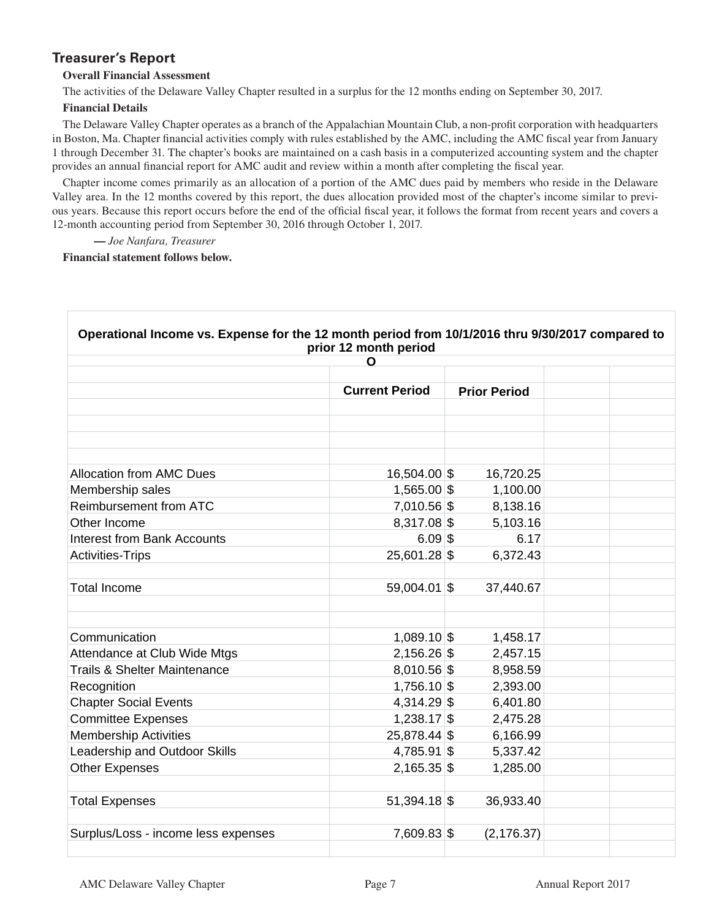# **Treasurer's Report**

### **Overall Financial Assessment**

The activities of the Delaware Valley Chapter resulted in a surplus for the 12 months ending on September 30, 2017.

### **Financial Details**

The Delaware Valley Chapter operates as a branch of the Appalachian Mountain Club, a non-profi t corporation with headquarters in Boston, Ma. Chapter financial activities comply with rules established by the AMC, including the AMC fiscal year from January 1 through December 31. The chapter's books are maintained on a cash basis in a computerized accounting system and the chapter provides an annual financial report for AMC audit and review within a month after completing the fiscal year.

Chapter income comes primarily as an allocation of a portion of the AMC dues paid by members who reside in the Delaware Valley area. In the 12 months covered by this report, the dues allocation provided most of the chapter's income similar to previous years. Because this report occurs before the end of the official fiscal year, it follows the format from recent years and covers a 12-month accounting period from September 30, 2016 through October 1, 2017.

**—** *Joe Nanfara, Treasurer*

**Financial statement follows below.** 

|                                     | O                     |                     |  |
|-------------------------------------|-----------------------|---------------------|--|
|                                     |                       |                     |  |
|                                     | <b>Current Period</b> | <b>Prior Period</b> |  |
|                                     |                       |                     |  |
|                                     |                       |                     |  |
|                                     |                       |                     |  |
|                                     |                       |                     |  |
| <b>Allocation from AMC Dues</b>     | 16,504.00 \$          | 16,720.25           |  |
| Membership sales                    | 1,565.00 \$           | 1,100.00            |  |
| Reimbursement from ATC              | 7,010.56 \$           | 8,138.16            |  |
| Other Income                        | 8,317.08 \$           | 5,103.16            |  |
| <b>Interest from Bank Accounts</b>  | $6.09$ \$             | 6.17                |  |
| <b>Activities-Trips</b>             | 25,601.28 \$          | 6,372.43            |  |
|                                     |                       |                     |  |
| <b>Total Income</b>                 | 59,004.01 \$          | 37,440.67           |  |
|                                     |                       |                     |  |
|                                     |                       |                     |  |
| Communication                       | 1,089.10 \$           | 1,458.17            |  |
| Attendance at Club Wide Mtgs        | $2,156.26$ \$         | 2,457.15            |  |
| Trails & Shelter Maintenance        | $8,010.56$ \$         | 8,958.59            |  |
| Recognition                         | 1,756.10 \$           | 2,393.00            |  |
| <b>Chapter Social Events</b>        | 4,314.29 \$           | 6,401.80            |  |
| <b>Committee Expenses</b>           | $1,238.17$ \$         | 2,475.28            |  |
| <b>Membership Activities</b>        | 25,878.44 \$          | 6,166.99            |  |
| Leadership and Outdoor Skills       | 4,785.91 \$           | 5,337.42            |  |
| <b>Other Expenses</b>               | $2,165.35$ \$         | 1,285.00            |  |
|                                     |                       |                     |  |
| <b>Total Expenses</b>               | $51,394.18$ \$        | 36,933.40           |  |
|                                     |                       |                     |  |
| Surplus/Loss - income less expenses | 7,609.83 \$           | (2, 176.37)         |  |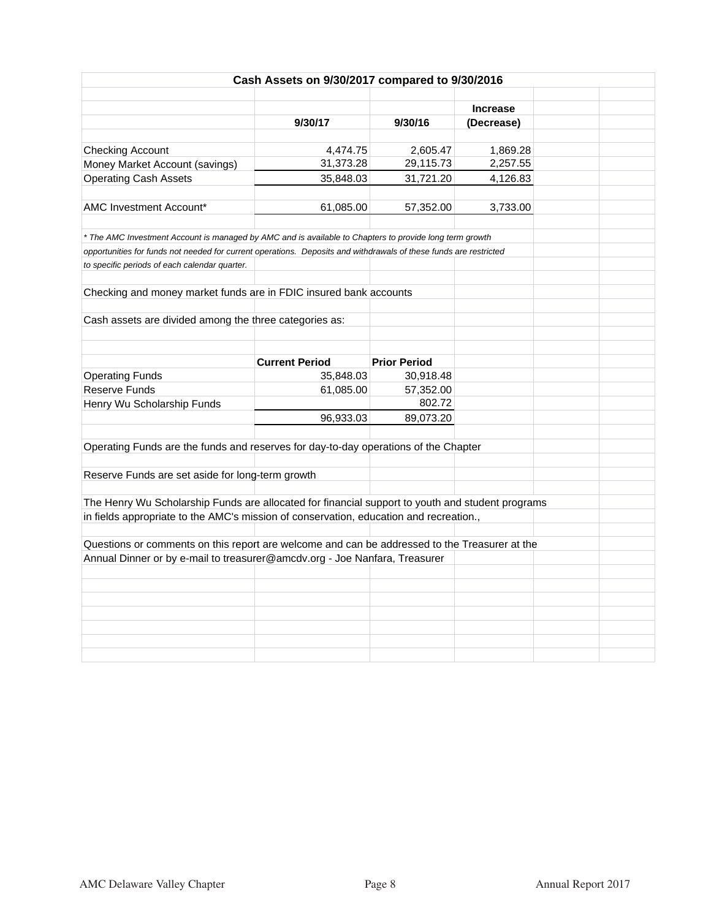|                                                                                                                                                                    | Cash Assets on 9/30/2017 compared to 9/30/2016 |                     |                               |  |
|--------------------------------------------------------------------------------------------------------------------------------------------------------------------|------------------------------------------------|---------------------|-------------------------------|--|
|                                                                                                                                                                    |                                                |                     |                               |  |
|                                                                                                                                                                    | 9/30/17                                        | 9/30/16             | <b>Increase</b><br>(Decrease) |  |
|                                                                                                                                                                    |                                                |                     |                               |  |
| <b>Checking Account</b>                                                                                                                                            | 4,474.75                                       | 2,605.47            | 1,869.28                      |  |
| Money Market Account (savings)                                                                                                                                     | 31,373.28                                      | 29,115.73           | 2,257.55                      |  |
| <b>Operating Cash Assets</b>                                                                                                                                       | 35,848.03                                      | 31,721.20           | 4,126.83                      |  |
|                                                                                                                                                                    |                                                |                     |                               |  |
| <b>AMC Investment Account*</b>                                                                                                                                     | 61,085.00                                      | 57,352.00           | 3,733.00                      |  |
|                                                                                                                                                                    |                                                |                     |                               |  |
| * The AMC Investment Account is managed by AMC and is available to Chapters to provide long term growth                                                            |                                                |                     |                               |  |
| opportunities for funds not needed for current operations. Deposits and withdrawals of these funds are restricted<br>to specific periods of each calendar quarter. |                                                |                     |                               |  |
|                                                                                                                                                                    |                                                |                     |                               |  |
| Checking and money market funds are in FDIC insured bank accounts                                                                                                  |                                                |                     |                               |  |
|                                                                                                                                                                    |                                                |                     |                               |  |
| Cash assets are divided among the three categories as:                                                                                                             |                                                |                     |                               |  |
|                                                                                                                                                                    |                                                |                     |                               |  |
|                                                                                                                                                                    |                                                |                     |                               |  |
|                                                                                                                                                                    | <b>Current Period</b>                          | <b>Prior Period</b> |                               |  |
| <b>Operating Funds</b>                                                                                                                                             | 35,848.03                                      | 30,918.48           |                               |  |
| Reserve Funds                                                                                                                                                      | 61,085.00                                      | 57,352.00           |                               |  |
| Henry Wu Scholarship Funds                                                                                                                                         |                                                | 802.72              |                               |  |
|                                                                                                                                                                    | 96,933.03                                      | 89,073.20           |                               |  |
| Operating Funds are the funds and reserves for day-to-day operations of the Chapter                                                                                |                                                |                     |                               |  |
|                                                                                                                                                                    |                                                |                     |                               |  |
| Reserve Funds are set aside for long-term growth                                                                                                                   |                                                |                     |                               |  |
|                                                                                                                                                                    |                                                |                     |                               |  |
| The Henry Wu Scholarship Funds are allocated for financial support to youth and student programs                                                                   |                                                |                     |                               |  |
| in fields appropriate to the AMC's mission of conservation, education and recreation.,                                                                             |                                                |                     |                               |  |
|                                                                                                                                                                    |                                                |                     |                               |  |
| Questions or comments on this report are welcome and can be addressed to the Treasurer at the                                                                      |                                                |                     |                               |  |
| Annual Dinner or by e-mail to treasurer@amcdv.org - Joe Nanfara, Treasurer                                                                                         |                                                |                     |                               |  |
|                                                                                                                                                                    |                                                |                     |                               |  |
|                                                                                                                                                                    |                                                |                     |                               |  |
|                                                                                                                                                                    |                                                |                     |                               |  |
|                                                                                                                                                                    |                                                |                     |                               |  |
|                                                                                                                                                                    |                                                |                     |                               |  |
|                                                                                                                                                                    |                                                |                     |                               |  |
|                                                                                                                                                                    |                                                |                     |                               |  |